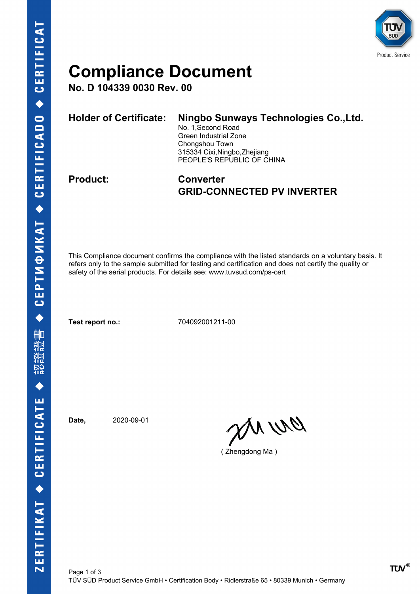

### **Compliance Document**

**No. D 104339 0030 Rev. 00**

| <b>Holder of Certificate:</b> | Ningbo Sunways Technologies Co., Ltd.<br>No. 1, Second Road<br>Green Industrial Zone<br>Chongshou Town<br>315334 Cixi, Ningbo, Zhejiang<br>PEOPLE'S REPUBLIC OF CHINA |
|-------------------------------|-----------------------------------------------------------------------------------------------------------------------------------------------------------------------|
|                               |                                                                                                                                                                       |

### **Product: Converter GRID-CONNECTED PV INVERTER**

This Compliance document confirms the compliance with the listed standards on a voluntary basis. It refers only to the sample submitted for testing and certification and does not certify the quality or safety of the serial products. For details see: www.tuvsud.com/ps-cert

**Test report no.:** 704092001211-00

**Date,** 2020-09-01

en ur

( Zhengdong Ma )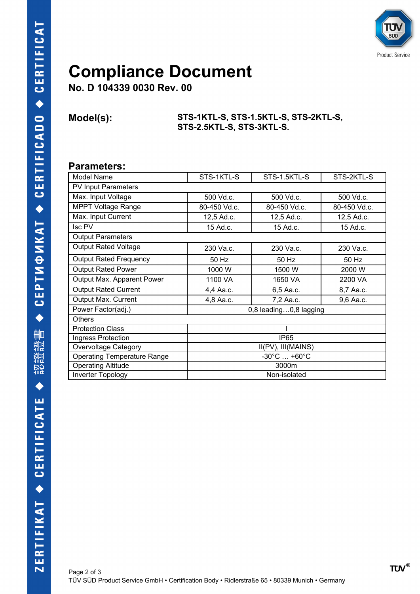

## **Compliance Document**

**No. D 104339 0030 Rev. 00**

#### **Model(s): STS-1KTL-S, STS-1.5KTL-S, STS-2KTL-S, STS-2.5KTL-S, STS-3KTL-S.**

#### **Parameters:**

| Model Name                         | STS-1KTL-S                      | STS-1.5KTL-S | STS-2KTL-S   |  |
|------------------------------------|---------------------------------|--------------|--------------|--|
| <b>PV Input Parameters</b>         |                                 |              |              |  |
| Max. Input Voltage                 | 500 Vd.c.                       | 500 Vd.c.    | 500 Vd.c.    |  |
| <b>MPPT Voltage Range</b>          | 80-450 Vd.c.                    | 80-450 Vd.c. | 80-450 Vd.c. |  |
| Max. Input Current                 | 12,5 Ad.c.                      | 12,5 Ad.c.   | 12,5 Ad.c.   |  |
| Isc PV                             | 15 Ad.c.                        | 15 Ad.c.     | 15 Ad.c.     |  |
| <b>Output Parameters</b>           |                                 |              |              |  |
| <b>Output Rated Voltage</b>        | 230 Va.c.                       | 230 Va.c.    | 230 Va.c.    |  |
| <b>Output Rated Frequency</b>      | 50 Hz                           | 50 Hz        | 50 Hz        |  |
| <b>Output Rated Power</b>          | 1000 W                          | 1500 W       | 2000 W       |  |
| Output Max. Apparent Power         | 1100 VA                         | 1650 VA      | 2200 VA      |  |
| <b>Output Rated Current</b>        | 4,4 Aa.c.                       | 6,5 Aa.c.    | 8,7 Aa.c.    |  |
| Output Max. Current                | 4,8 Aa.c.                       | 7,2 Aa.c.    | 9,6 Aa.c.    |  |
| Power Factor(adj.)                 | 0,8 leading0,8 lagging          |              |              |  |
| <b>Others</b>                      |                                 |              |              |  |
| <b>Protection Class</b>            |                                 |              |              |  |
| Ingress Protection                 | <b>IP65</b>                     |              |              |  |
| Overvoltage Category               | II(PV), III(MAINS)              |              |              |  |
| <b>Operating Temperature Range</b> | $-30^{\circ}$ C $+60^{\circ}$ C |              |              |  |
| <b>Operating Altitude</b>          | 3000m                           |              |              |  |
| <b>Inverter Topology</b>           | Non-isolated                    |              |              |  |